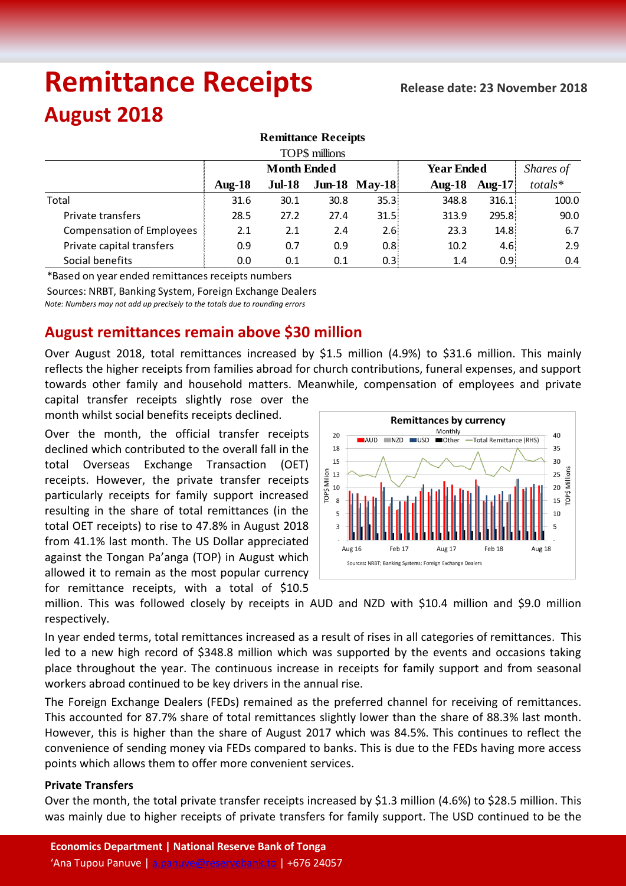# **Remittance Receipts August 2018**

| <b>Remittance Receipts</b>       |                    |          |      |                      |                   |            |           |  |  |  |  |  |
|----------------------------------|--------------------|----------|------|----------------------|-------------------|------------|-----------|--|--|--|--|--|
| TOP\$ millions                   |                    |          |      |                      |                   |            |           |  |  |  |  |  |
|                                  | <b>Month Ended</b> |          |      |                      | <b>Year Ended</b> |            | Shares of |  |  |  |  |  |
|                                  | Aug- $18$          | $Jul-18$ |      | <b>Jun-18 May-18</b> | $Aug-18$          | Aug-17 $ $ | $totals*$ |  |  |  |  |  |
| Total                            | 31.6               | 30.1     | 30.8 | 35.3                 | 348.8             | 316.1      | 100.0     |  |  |  |  |  |
| Private transfers                | 28.5               | 27.2     | 27.4 | 31.5                 | 313.9             | 295.8      | 90.0      |  |  |  |  |  |
| <b>Compensation of Employees</b> | 2.1                | 2.1      | 2.4  | 2.6                  | 23.3              | 14.8       | 6.7       |  |  |  |  |  |
| Private capital transfers        | 0.9                | 0.7      | 0.9  | 0.8                  | 10.2              | 4.6!       | 2.9       |  |  |  |  |  |
| Social benefits                  | 0.0                | 0.1      | 0.1  | 0.3                  | 1.4               | 0.9!       | 0.4       |  |  |  |  |  |

\*Based on year ended remittances receipts numbers

Sources: NRBT, Banking System, Foreign Exchange Dealers

*Note: Numbers may not add up precisely to the totals due to rounding errors*

## **August remittances remain above \$30 million**

Over August 2018, total remittances increased by \$1.5 million (4.9%) to \$31.6 million. This mainly reflects the higher receipts from families abroad for church contributions, funeral expenses, and support towards other family and household matters. Meanwhile, compensation of employees and private

capital transfer receipts slightly rose over the month whilst social benefits receipts declined.

Over the month, the official transfer receipts declined which contributed to the overall fall in the total Overseas Exchange Transaction (OET) receipts. However, the private transfer receipts particularly receipts for family support increased resulting in the share of total remittances (in the total OET receipts) to rise to 47.8% in August 2018 from 41.1% last month. The US Dollar appreciated against the Tongan Pa'anga (TOP) in August which allowed it to remain as the most popular currency for remittance receipts, with a total of \$10.5



million. This was followed closely by receipts in AUD and NZD with \$10.4 million and \$9.0 million respectively.

In year ended terms, total remittances increased as a result of rises in all categories of remittances. This led to a new high record of \$348.8 million which was supported by the events and occasions taking place throughout the year. The continuous increase in receipts for family support and from seasonal workers abroad continued to be key drivers in the annual rise.

The Foreign Exchange Dealers (FEDs) remained as the preferred channel for receiving of remittances. This accounted for 87.7% share of total remittances slightly lower than the share of 88.3% last month. However, this is higher than the share of August 2017 which was 84.5%. This continues to reflect the convenience of sending money via FEDs compared to banks. This is due to the FEDs having more access points which allows them to offer more convenient services.

### **Private Transfers**

Over the month, the total private transfer receipts increased by \$1.3 million (4.6%) to \$28.5 million. This was mainly due to higher receipts of private transfers for family support. The USD continued to be the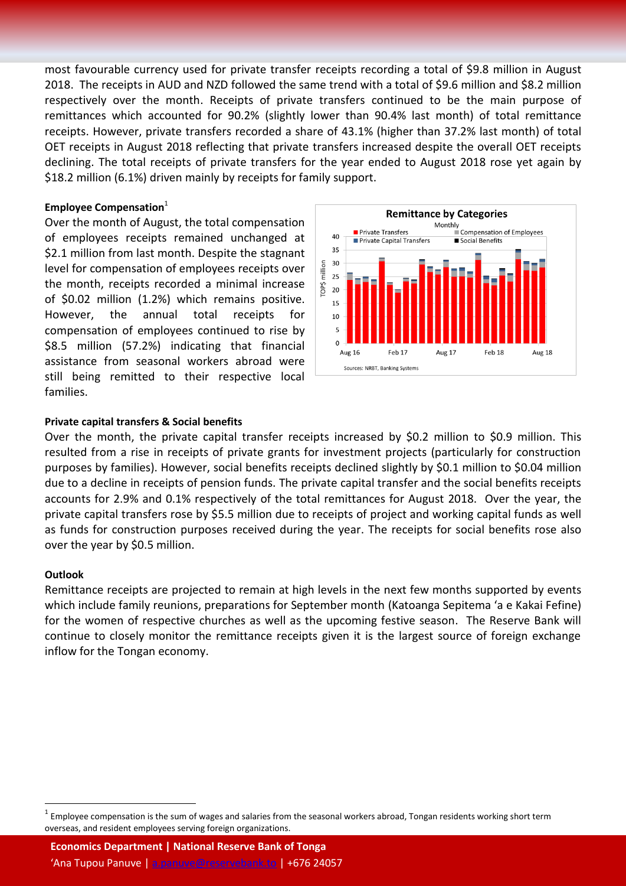most favourable currency used for private transfer receipts recording a total of \$9.8 million in August 2018. The receipts in AUD and NZD followed the same trend with a total of \$9.6 million and \$8.2 million respectively over the month. Receipts of private transfers continued to be the main purpose of remittances which accounted for 90.2% (slightly lower than 90.4% last month) of total remittance receipts. However, private transfers recorded a share of 43.1% (higher than 37.2% last month) of total OET receipts in August 2018 reflecting that private transfers increased despite the overall OET receipts declining. The total receipts of private transfers for the year ended to August 2018 rose yet again by \$18.2 million (6.1%) driven mainly by receipts for family support.

### **Employee Compensation**<sup>1</sup>

Over the month of August, the total compensation of employees receipts remained unchanged at \$2.1 million from last month. Despite the stagnant level for compensation of employees receipts over the month, receipts recorded a minimal increase of \$0.02 million (1.2%) which remains positive. However, the annual total receipts for compensation of employees continued to rise by \$8.5 million (57.2%) indicating that financial assistance from seasonal workers abroad were still being remitted to their respective local families.



### **Private capital transfers & Social benefits**

Over the month, the private capital transfer receipts increased by \$0.2 million to \$0.9 million. This resulted from a rise in receipts of private grants for investment projects (particularly for construction purposes by families). However, social benefits receipts declined slightly by \$0.1 million to \$0.04 million due to a decline in receipts of pension funds. The private capital transfer and the social benefits receipts accounts for 2.9% and 0.1% respectively of the total remittances for August 2018. Over the year, the private capital transfers rose by \$5.5 million due to receipts of project and working capital funds as well as funds for construction purposes received during the year. The receipts for social benefits rose also over the year by \$0.5 million.

### **Outlook**

 $\overline{a}$ 

Remittance receipts are projected to remain at high levels in the next few months supported by events which include family reunions, preparations for September month (Katoanga Sepitema 'a e Kakai Fefine) for the women of respective churches as well as the upcoming festive season. The Reserve Bank will continue to closely monitor the remittance receipts given it is the largest source of foreign exchange inflow for the Tongan economy.

<sup>1</sup> Employee compensation is the sum of wages and salaries from the seasonal workers abroad, Tongan residents working short term overseas, and resident employees serving foreign organizations.